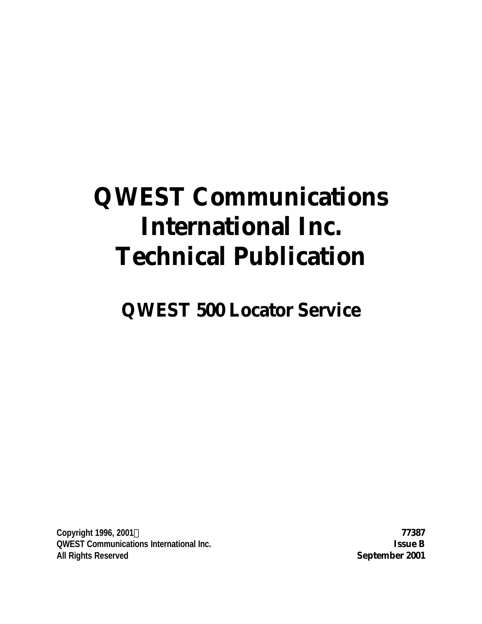# **QWEST Communications International Inc. Technical Publication**

## **QWEST 500 Locator Service**

**Copyright 1996, 2001Ó 77387 QWEST Communications International Inc. Issue B All Rights Reserved September 2001**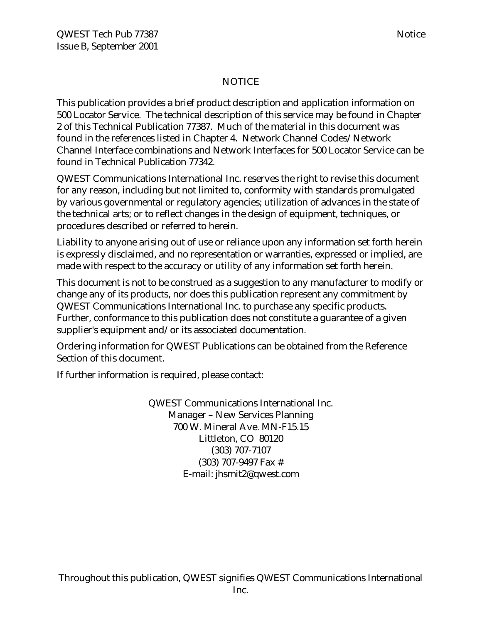#### NOTICE

This publication provides a brief product description and application information on 500 Locator Service. The technical description of this service may be found in Chapter 2 of this Technical Publication 77387. Much of the material in this document was found in the references listed in Chapter 4. Network Channel Codes/Network Channel Interface combinations and Network Interfaces for 500 Locator Service can be found in Technical Publication 77342.

QWEST Communications International Inc. reserves the right to revise this document for any reason, including but not limited to, conformity with standards promulgated by various governmental or regulatory agencies; utilization of advances in the state of the technical arts; or to reflect changes in the design of equipment, techniques, or procedures described or referred to herein.

Liability to anyone arising out of use or reliance upon any information set forth herein is expressly disclaimed, and no representation or warranties, expressed or implied, are made with respect to the accuracy or utility of any information set forth herein.

This document is not to be construed as a suggestion to any manufacturer to modify or change any of its products, nor does this publication represent any commitment by QWEST Communications International Inc. to purchase any specific products. Further, conformance to this publication does not constitute a guarantee of a given supplier's equipment and/or its associated documentation.

Ordering information for QWEST Publications can be obtained from the Reference Section of this document.

If further information is required, please contact:

QWEST Communications International Inc. Manager – New Services Planning 700 W. Mineral Ave. MN-F15.15 Littleton, CO 80120 (303) 707-7107 (303) 707-9497 Fax # E-mail: jhsmit2@qwest.com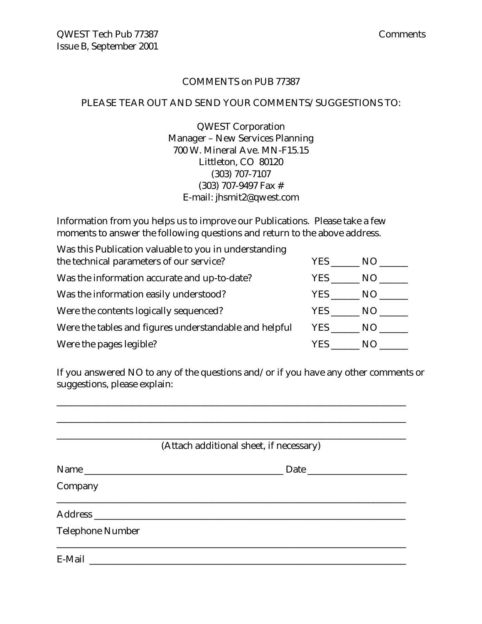#### COMMENTS on PUB 77387

#### PLEASE TEAR OUT AND SEND YOUR COMMENTS/SUGGESTIONS TO:

QWEST Corporation Manager – New Services Planning 700 W. Mineral Ave. MN-F15.15 Littleton, CO 80120 (303) 707-7107 (303) 707-9497 Fax # E-mail: jhsmit2@qwest.com

Information from you helps us to improve our Publications. Please take a few moments to answer the following questions and return to the above address.

| Was this Publication valuable to you in understanding  |        |      |
|--------------------------------------------------------|--------|------|
| the technical parameters of our service?               | YES.   | - NO |
| Was the information accurate and up-to-date?           | YES .  | NO.  |
| Was the information easily understood?                 | YES    | NO.  |
| Were the contents logically sequenced?                 | YES    | NO.  |
| Were the tables and figures understandable and helpful | YES NO |      |
| Were the pages legible?                                | YES.   | N()  |

If you answered NO to any of the questions and/or if you have any other comments or suggestions, please explain:

\_\_\_\_\_\_\_\_\_\_\_\_\_\_\_\_\_\_\_\_\_\_\_\_\_\_\_\_\_\_\_\_\_\_\_\_\_\_\_\_\_\_\_\_\_\_\_\_\_\_\_\_\_\_\_\_\_\_\_\_\_\_\_\_\_\_\_\_\_\_\_\_\_\_

|                         | (Attach additional sheet, if necessary) |
|-------------------------|-----------------------------------------|
| Name                    | Date                                    |
| Company                 |                                         |
|                         |                                         |
| <b>Telephone Number</b> |                                         |
|                         |                                         |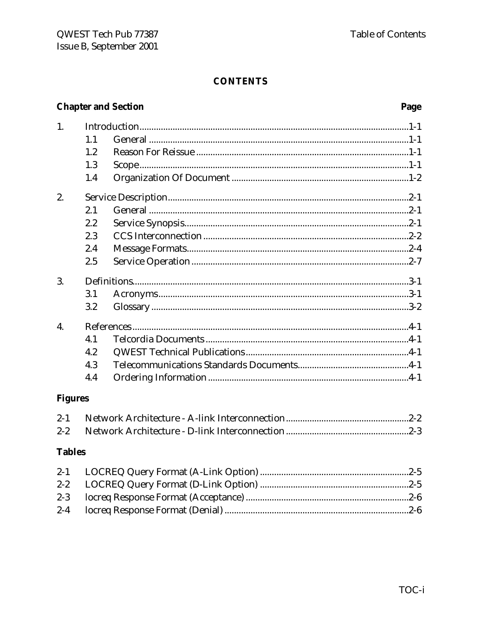|                  | <b>Chapter and Section</b> |  |  |
|------------------|----------------------------|--|--|
| 1.               |                            |  |  |
|                  | 1.1                        |  |  |
|                  | 1.2                        |  |  |
|                  | 1.3                        |  |  |
|                  | 1.4                        |  |  |
| 2.               |                            |  |  |
|                  | 2.1                        |  |  |
|                  | 2.2                        |  |  |
|                  | 2.3                        |  |  |
|                  | 2.4                        |  |  |
|                  | 2.5                        |  |  |
| 3.               |                            |  |  |
|                  | 3.1                        |  |  |
|                  | 3.2                        |  |  |
| $\overline{4}$ . |                            |  |  |
|                  | 4.1                        |  |  |
|                  | 4.2                        |  |  |
|                  | 4.3                        |  |  |
|                  | 4.4                        |  |  |
| <b>Figures</b>   |                            |  |  |
| $2 - 1$          |                            |  |  |
| $2 - 2$          |                            |  |  |

#### **Tables**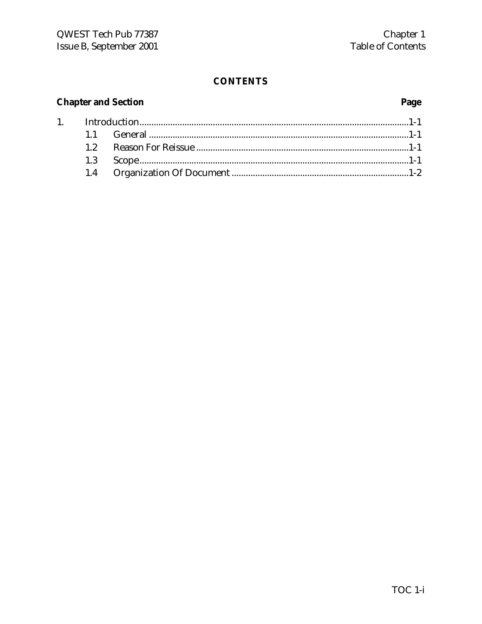### **Chapter and Section**

 $1.$ 

### Page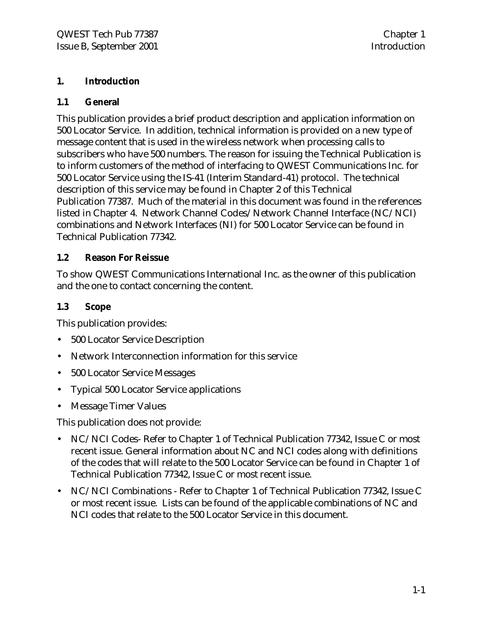#### **1. Introduction**

#### **1.1 General**

This publication provides a brief product description and application information on 500 Locator Service. In addition, technical information is provided on a new type of message content that is used in the wireless network when processing calls to subscribers who have 500 numbers. The reason for issuing the Technical Publication is to inform customers of the method of interfacing to QWEST Communications Inc. for 500 Locator Service using the IS-41 (Interim Standard-41) protocol. The technical description of this service may be found in Chapter 2 of this Technical Publication 77387. Much of the material in this document was found in the references listed in Chapter 4. Network Channel Codes/Network Channel Interface (NC/NCI) combinations and Network Interfaces (NI) for 500 Locator Service can be found in Technical Publication 77342.

#### **1.2 Reason For Reissue**

To show QWEST Communications International Inc. as the owner of this publication and the one to contact concerning the content.

#### **1.3 Scope**

This publication provides:

- 500 Locator Service Description
- Network Interconnection information for this service
- 500 Locator Service Messages
- Typical 500 Locator Service applications
- Message Timer Values

This publication does not provide:

- NC/NCI Codes-Refer to Chapter 1 of Technical Publication 77342, Issue C or most recent issue. General information about NC and NCI codes along with definitions of the codes that will relate to the 500 Locator Service can be found in Chapter 1 of Technical Publication 77342, Issue C or most recent issue.
- NC/NCI Combinations Refer to Chapter 1 of Technical Publication 77342, Issue C or most recent issue. Lists can be found of the applicable combinations of NC and NCI codes that relate to the 500 Locator Service in this document.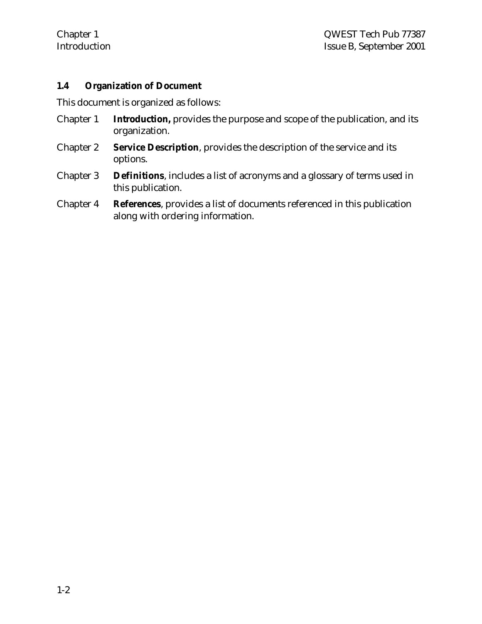#### **1.4 Organization of Document**

This document is organized as follows:

- Chapter 1 **Introduction,** provides the purpose and scope of the publication, and its organization.
- Chapter 2 **Service Description**, provides the description of the service and its options.
- Chapter 3 **Definitions**, includes a list of acronyms and a glossary of terms used in this publication.
- Chapter 4 **References**, provides a list of documents referenced in this publication along with ordering information.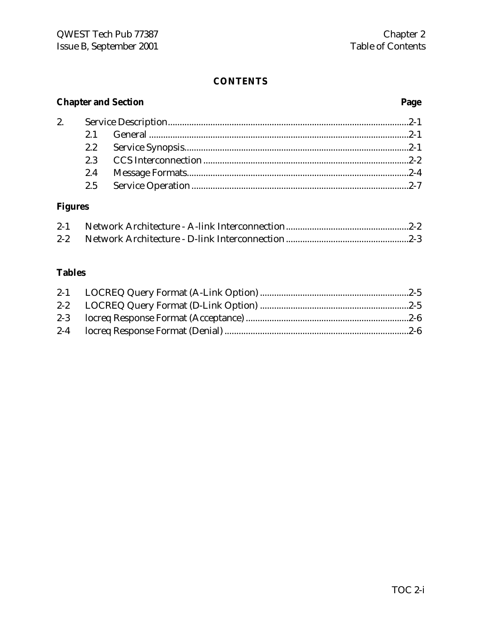#### **Chapter and Section Page**

#### **Figures**

#### **Tables**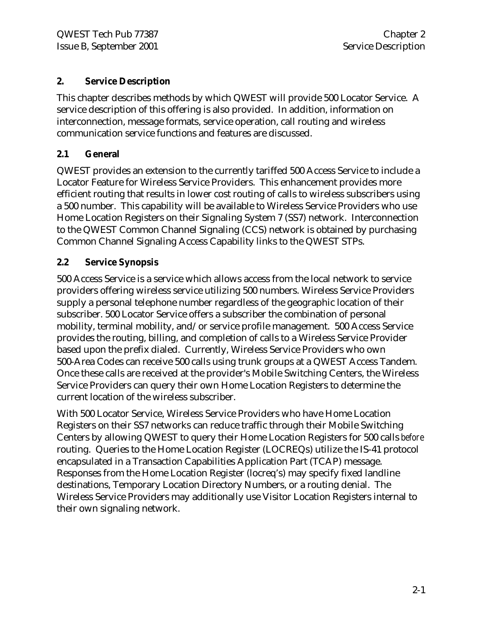#### **2. Service Description**

This chapter describes methods by which QWEST will provide 500 Locator Service. A service description of this offering is also provided. In addition, information on interconnection, message formats, service operation, call routing and wireless communication service functions and features are discussed.

#### **2.1 General**

QWEST provides an extension to the currently tariffed 500 Access Service to include a Locator Feature for Wireless Service Providers. This enhancement provides more efficient routing that results in lower cost routing of calls to wireless subscribers using a 500 number. This capability will be available to Wireless Service Providers who use Home Location Registers on their Signaling System 7 (SS7) network. Interconnection to the QWEST Common Channel Signaling (CCS) network is obtained by purchasing Common Channel Signaling Access Capability links to the QWEST STPs.

#### **2.2 Service Synopsis**

500 Access Service is a service which allows access from the local network to service providers offering wireless service utilizing 500 numbers. Wireless Service Providers supply a personal telephone number regardless of the geographic location of their subscriber. 500 Locator Service offers a subscriber the combination of personal mobility, terminal mobility, and/or service profile management. 500 Access Service provides the routing, billing, and completion of calls to a Wireless Service Provider based upon the prefix dialed. Currently, Wireless Service Providers who own 500-Area Codes can receive 500 calls using trunk groups at a QWEST Access Tandem. Once these calls are received at the provider's Mobile Switching Centers, the Wireless Service Providers can query their own Home Location Registers to determine the current location of the wireless subscriber.

With 500 Locator Service, Wireless Service Providers who have Home Location Registers on their SS7 networks can reduce traffic through their Mobile Switching Centers by allowing QWEST to query their Home Location Registers for 500 calls *before* routing. Queries to the Home Location Register (LOCREQs) utilize the IS-41 protocol encapsulated in a Transaction Capabilities Application Part (TCAP) message. Responses from the Home Location Register (locreq's) may specify fixed landline destinations, Temporary Location Directory Numbers, or a routing denial. The Wireless Service Providers may additionally use Visitor Location Registers internal to their own signaling network.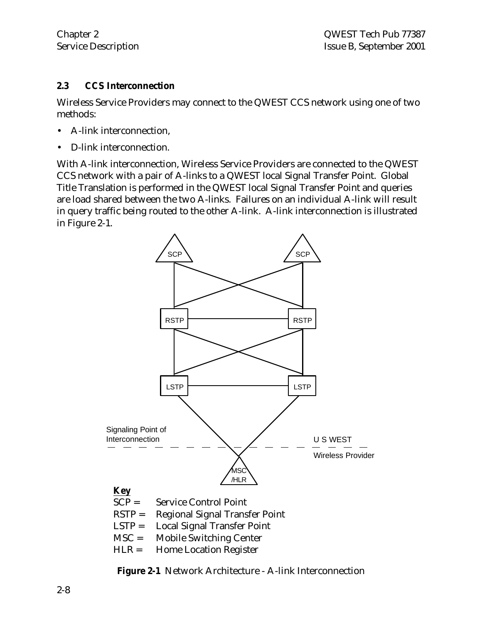#### **2.3 CCS Interconnection**

Wireless Service Providers may connect to the QWEST CCS network using one of two methods:

- A-link interconnection,
- D-link interconnection.

With A-link interconnection, Wireless Service Providers are connected to the QWEST CCS network with a pair of A-links to a QWEST local Signal Transfer Point. Global Title Translation is performed in the QWEST local Signal Transfer Point and queries are load shared between the two A-links. Failures on an individual A-link will result in query traffic being routed to the other A-link. A-link interconnection is illustrated in Figure 2-1.



**Figure 2-1** Network Architecture - A-link Interconnection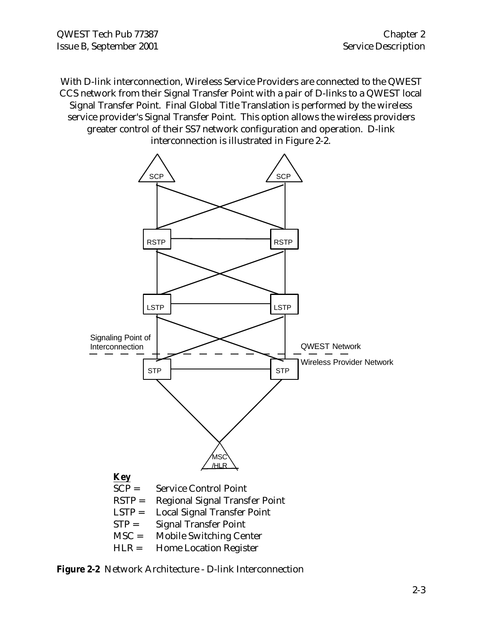QWEST Tech Pub 77387 Chapter 2 Issue B, September 2001 Service Description

With D-link interconnection, Wireless Service Providers are connected to the QWEST CCS network from their Signal Transfer Point with a pair of D-links to a QWEST local Signal Transfer Point. Final Global Title Translation is performed by the wireless service provider's Signal Transfer Point. This option allows the wireless providers greater control of their SS7 network configuration and operation. D-link interconnection is illustrated in Figure 2-2.



**Figure 2-2** Network Architecture - D-link Interconnection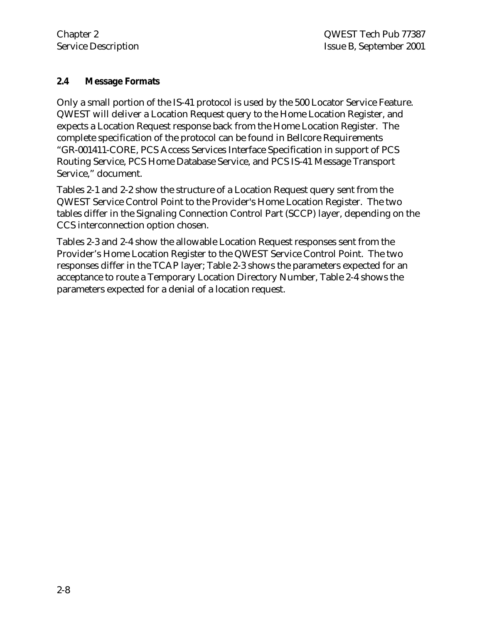#### **2.4 Message Formats**

Only a small portion of the IS-41 protocol is used by the 500 Locator Service Feature. QWEST will deliver a Location Request query to the Home Location Register, and expects a Location Request response back from the Home Location Register. The complete specification of the protocol can be found in Bellcore Requirements "GR-001411-CORE, PCS Access Services Interface Specification in support of PCS Routing Service, PCS Home Database Service, and PCS IS-41 Message Transport Service," document.

Tables 2-1 and 2-2 show the structure of a Location Request query sent from the QWEST Service Control Point to the Provider's Home Location Register. The two tables differ in the Signaling Connection Control Part (SCCP) layer, depending on the CCS interconnection option chosen.

Tables 2-3 and 2-4 show the allowable Location Request responses sent from the Provider's Home Location Register to the QWEST Service Control Point. The two responses differ in the TCAP layer; Table 2-3 shows the parameters expected for an acceptance to route a Temporary Location Directory Number, Table 2-4 shows the parameters expected for a denial of a location request.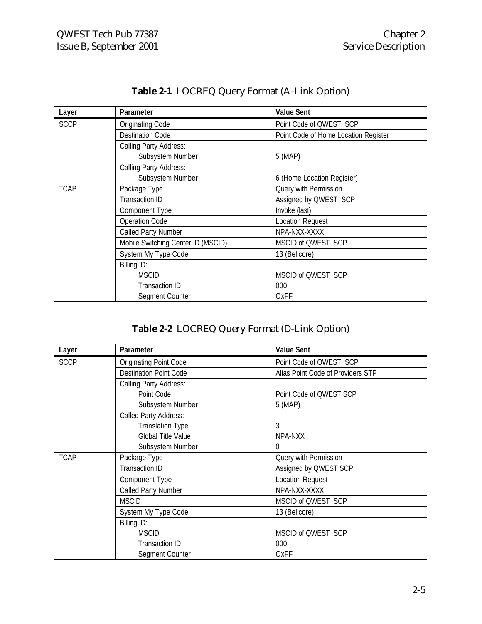| Layer       | Parameter                          | <b>Value Sent</b>                    |
|-------------|------------------------------------|--------------------------------------|
| <b>SCCP</b> | Originating Code                   | Point Code of QWEST SCP              |
|             | <b>Destination Code</b>            | Point Code of Home Location Register |
|             | Calling Party Address:             |                                      |
|             | Subsystem Number                   | 5 (MAP)                              |
|             | Calling Party Address:             |                                      |
|             | Subsystem Number                   | 6 (Home Location Register)           |
| <b>TCAP</b> | Package Type                       | Query with Permission                |
|             | <b>Transaction ID</b>              | Assigned by QWEST SCP                |
|             | Component Type                     | Invoke (last)                        |
|             | <b>Operation Code</b>              | <b>Location Request</b>              |
|             | Called Party Number                | NPA-NXX-XXXX                         |
|             | Mobile Switching Center ID (MSCID) | MSCID of QWEST SCP                   |
|             | System My Type Code                | 13 (Bellcore)                        |
|             | Billing ID:                        |                                      |
|             | <b>MSCID</b>                       | MSCID of QWEST SCP                   |
|             | Transaction ID                     | 000                                  |
|             | Segment Counter                    | OxFF                                 |

#### **Table 2-1** LOCREQ Query Format (A-Link Option)

#### **Table 2-2** LOCREQ Query Format (D-Link Option)

| Layer       | Parameter                     | <b>Value Sent</b>                 |
|-------------|-------------------------------|-----------------------------------|
| <b>SCCP</b> | Originating Point Code        | Point Code of QWEST SCP           |
|             | <b>Destination Point Code</b> | Alias Point Code of Providers STP |
|             | <b>Calling Party Address:</b> |                                   |
|             | Point Code                    | Point Code of QWEST SCP           |
|             | Subsystem Number              | 5 (MAP)                           |
|             | Called Party Address:         |                                   |
|             | <b>Translation Type</b>       | 3                                 |
|             | <b>Global Title Value</b>     | NPA-NXX                           |
|             | Subsystem Number              | 0                                 |
| <b>TCAP</b> | Package Type                  | Query with Permission             |
|             | Transaction ID                | Assigned by QWEST SCP             |
|             | Component Type                | Location Request                  |
|             | Called Party Number           | NPA-NXX-XXXX                      |
|             | <b>MSCID</b>                  | MSCID of QWEST SCP                |
|             | System My Type Code           | 13 (Bellcore)                     |
|             | Billing ID:                   |                                   |
|             | <b>MSCID</b>                  | MSCID of QWEST SCP                |
|             | Transaction ID                | 000                               |
|             | Segment Counter               | OxFF                              |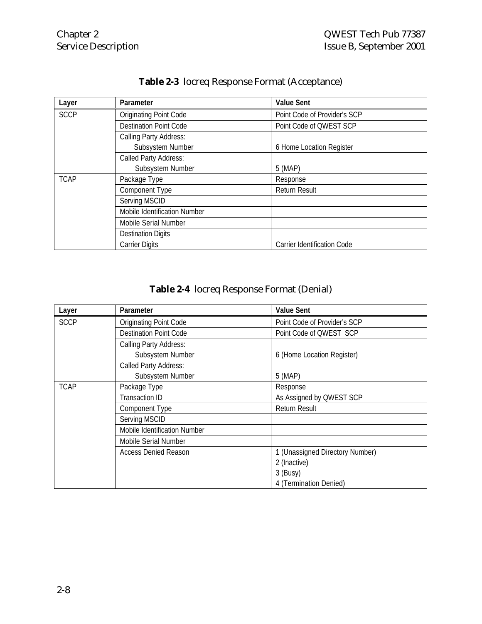| Layer       | Parameter                     | <b>Value Sent</b>            |
|-------------|-------------------------------|------------------------------|
| <b>SCCP</b> | <b>Originating Point Code</b> | Point Code of Provider's SCP |
|             | <b>Destination Point Code</b> | Point Code of QWEST SCP      |
|             | Calling Party Address:        |                              |
|             | Subsystem Number              | 6 Home Location Register     |
|             | Called Party Address:         |                              |
|             | Subsystem Number              | 5 (MAP)                      |
| <b>TCAP</b> | Package Type                  | Response                     |
|             | Component Type                | <b>Return Result</b>         |
|             | Serving MSCID                 |                              |
|             | Mobile Identification Number  |                              |
|             | Mobile Serial Number          |                              |
|             | <b>Destination Digits</b>     |                              |
|             | <b>Carrier Digits</b>         | Carrier Identification Code  |

#### **Table 2-3** locreq Response Format (Acceptance)

| Table 2-4 locreq Response Format (Denial) |  |  |  |  |
|-------------------------------------------|--|--|--|--|
|-------------------------------------------|--|--|--|--|

| Layer       | Parameter                     | <b>Value Sent</b>               |
|-------------|-------------------------------|---------------------------------|
| <b>SCCP</b> | <b>Originating Point Code</b> | Point Code of Provider's SCP    |
|             | Destination Point Code        | Point Code of QWEST SCP         |
|             | Calling Party Address:        |                                 |
|             | Subsystem Number              | 6 (Home Location Register)      |
|             | Called Party Address:         |                                 |
|             | Subsystem Number              | 5 (MAP)                         |
| <b>TCAP</b> | Package Type                  | Response                        |
|             | <b>Transaction ID</b>         | As Assigned by QWEST SCP        |
|             | Component Type                | Return Result                   |
|             | Serving MSCID                 |                                 |
|             | Mobile Identification Number  |                                 |
|             | Mobile Serial Number          |                                 |
|             | Access Denied Reason          | 1 (Unassigned Directory Number) |
|             |                               | 2 (Inactive)                    |
|             |                               | $3$ (Busy)                      |
|             |                               | 4 (Termination Denied)          |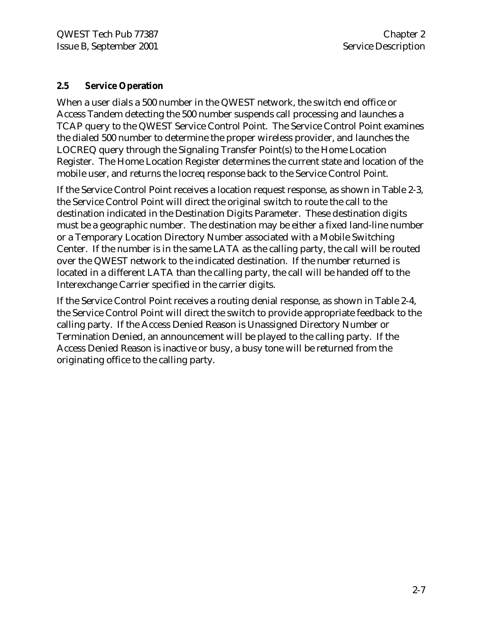#### **2.5 Service Operation**

When a user dials a 500 number in the QWEST network, the switch end office or Access Tandem detecting the 500 number suspends call processing and launches a TCAP query to the QWEST Service Control Point. The Service Control Point examines the dialed 500 number to determine the proper wireless provider, and launches the LOCREQ query through the Signaling Transfer Point(s) to the Home Location Register. The Home Location Register determines the current state and location of the mobile user, and returns the locreq response back to the Service Control Point.

If the Service Control Point receives a location request response, as shown in Table 2-3, the Service Control Point will direct the original switch to route the call to the destination indicated in the Destination Digits Parameter. These destination digits must be a geographic number. The destination may be either a fixed land-line number or a Temporary Location Directory Number associated with a Mobile Switching Center. If the number is in the same LATA as the calling party, the call will be routed over the QWEST network to the indicated destination. If the number returned is located in a different LATA than the calling party, the call will be handed off to the Interexchange Carrier specified in the carrier digits.

If the Service Control Point receives a routing denial response, as shown in Table 2-4, the Service Control Point will direct the switch to provide appropriate feedback to the calling party. If the Access Denied Reason is Unassigned Directory Number or Termination Denied, an announcement will be played to the calling party. If the Access Denied Reason is inactive or busy, a busy tone will be returned from the originating office to the calling party.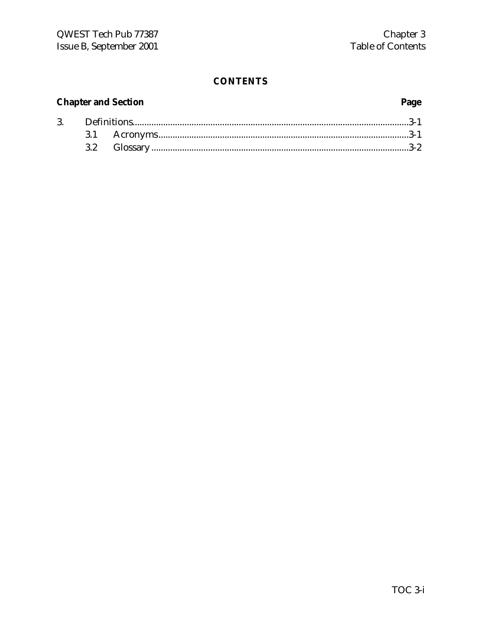#### **Chapter and Section**

### Page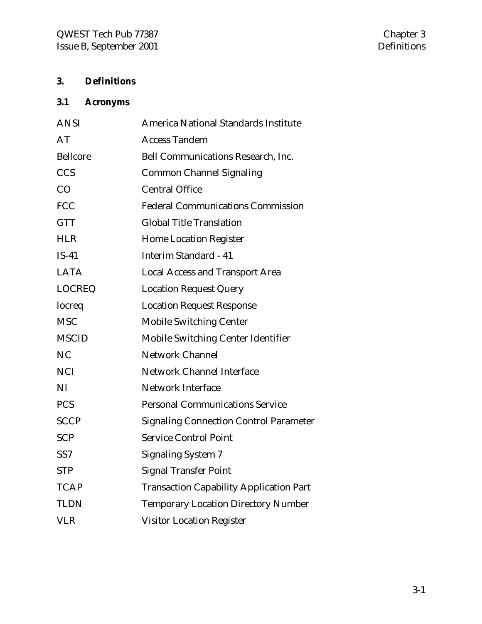#### **3. Definitions**

### **3.1 Acronyms**

| <b>ANSI</b>     | America National Standards Institute           |
|-----------------|------------------------------------------------|
| AT              | <b>Access Tandem</b>                           |
| <b>Bellcore</b> | Bell Communications Research, Inc.             |
| <b>CCS</b>      | <b>Common Channel Signaling</b>                |
| CO              | <b>Central Office</b>                          |
| <b>FCC</b>      | <b>Federal Communications Commission</b>       |
| <b>GTT</b>      | <b>Global Title Translation</b>                |
| <b>HLR</b>      | <b>Home Location Register</b>                  |
| $IS-41$         | <b>Interim Standard - 41</b>                   |
| <b>LATA</b>     | <b>Local Access and Transport Area</b>         |
| <b>LOCREQ</b>   | <b>Location Request Query</b>                  |
| locreq          | <b>Location Request Response</b>               |
| <b>MSC</b>      | <b>Mobile Switching Center</b>                 |
| <b>MSCID</b>    | <b>Mobile Switching Center Identifier</b>      |
| NC              | Network Channel                                |
| <b>NCI</b>      | <b>Network Channel Interface</b>               |
| NI              | <b>Network Interface</b>                       |
| <b>PCS</b>      | <b>Personal Communications Service</b>         |
| <b>SCCP</b>     | <b>Signaling Connection Control Parameter</b>  |
| <b>SCP</b>      | <b>Service Control Point</b>                   |
| SS <sub>7</sub> | <b>Signaling System 7</b>                      |
| <b>STP</b>      | <b>Signal Transfer Point</b>                   |
| <b>TCAP</b>     | <b>Transaction Capability Application Part</b> |
| <b>TLDN</b>     | <b>Temporary Location Directory Number</b>     |
| <b>VLR</b>      | <b>Visitor Location Register</b>               |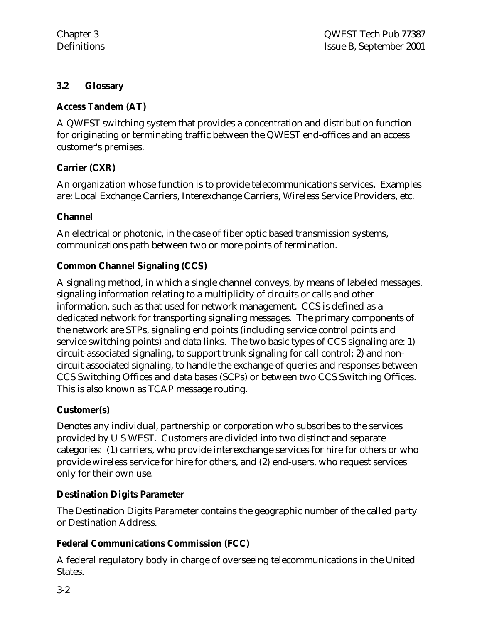#### **3.2 Glossary**

#### **Access Tandem (AT)**

A QWEST switching system that provides a concentration and distribution function for originating or terminating traffic between the QWEST end-offices and an access customer's premises.

#### **Carrier (CXR)**

An organization whose function is to provide telecommunications services. Examples are: Local Exchange Carriers, Interexchange Carriers, Wireless Service Providers, etc.

#### **Channel**

An electrical or photonic, in the case of fiber optic based transmission systems, communications path between two or more points of termination.

#### **Common Channel Signaling (CCS)**

A signaling method, in which a single channel conveys, by means of labeled messages, signaling information relating to a multiplicity of circuits or calls and other information, such as that used for network management. CCS is defined as a dedicated network for transporting signaling messages. The primary components of the network are STPs, signaling end points (including service control points and service switching points) and data links. The two basic types of CCS signaling are: 1) circuit-associated signaling, to support trunk signaling for call control; 2) and noncircuit associated signaling, to handle the exchange of queries and responses between CCS Switching Offices and data bases (SCPs) or between two CCS Switching Offices. This is also known as TCAP message routing.

#### **Customer(s)**

Denotes any individual, partnership or corporation who subscribes to the services provided by U S WEST. Customers are divided into two distinct and separate categories: (1) carriers, who provide interexchange services for hire for others or who provide wireless service for hire for others, and (2) end-users, who request services only for their own use.

#### **Destination Digits Parameter**

The Destination Digits Parameter contains the geographic number of the called party or Destination Address.

#### **Federal Communications Commission (FCC)**

A federal regulatory body in charge of overseeing telecommunications in the United States.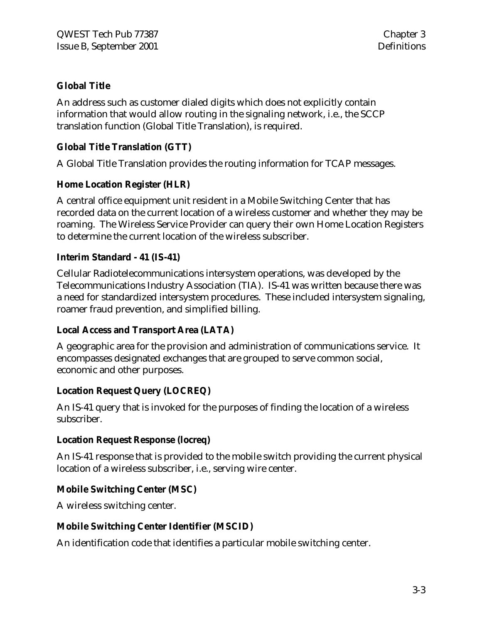#### **Global Title**

An address such as customer dialed digits which does not explicitly contain information that would allow routing in the signaling network, i.e., the SCCP translation function (Global Title Translation), is required.

#### **Global Title Translation (GTT)**

A Global Title Translation provides the routing information for TCAP messages.

#### **Home Location Register (HLR)**

A central office equipment unit resident in a Mobile Switching Center that has recorded data on the current location of a wireless customer and whether they may be roaming. The Wireless Service Provider can query their own Home Location Registers to determine the current location of the wireless subscriber.

#### **Interim Standard - 41 (IS-41)**

Cellular Radiotelecommunications intersystem operations, was developed by the Telecommunications Industry Association (TIA). IS-41 was written because there was a need for standardized intersystem procedures. These included intersystem signaling, roamer fraud prevention, and simplified billing.

#### **Local Access and Transport Area (LATA)**

A geographic area for the provision and administration of communications service. It encompasses designated exchanges that are grouped to serve common social, economic and other purposes.

#### **Location Request Query (LOCREQ)**

An IS-41 query that is invoked for the purposes of finding the location of a wireless subscriber.

#### **Location Request Response (locreq)**

An IS-41 response that is provided to the mobile switch providing the current physical location of a wireless subscriber, i.e., serving wire center.

#### **Mobile Switching Center (MSC)**

A wireless switching center.

#### **Mobile Switching Center Identifier (MSCID)**

An identification code that identifies a particular mobile switching center.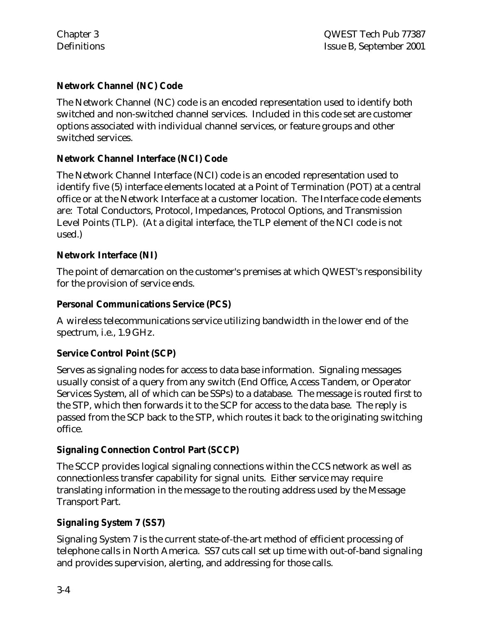#### **Network Channel (NC) Code**

The Network Channel (NC) code is an encoded representation used to identify both switched and non-switched channel services. Included in this code set are customer options associated with individual channel services, or feature groups and other switched services.

#### **Network Channel Interface (NCI) Code**

The Network Channel Interface (NCI) code is an encoded representation used to identify five (5) interface elements located at a Point of Termination (POT) at a central office or at the Network Interface at a customer location. The Interface code elements are: Total Conductors, Protocol, Impedances, Protocol Options, and Transmission Level Points (TLP). (At a digital interface, the TLP element of the NCI code is not used.)

#### **Network Interface (NI)**

The point of demarcation on the customer's premises at which QWEST's responsibility for the provision of service ends.

#### **Personal Communications Service (PCS)**

A wireless telecommunications service utilizing bandwidth in the lower end of the spectrum, i.e., 1.9 GHz.

#### **Service Control Point (SCP)**

Serves as signaling nodes for access to data base information. Signaling messages usually consist of a query from any switch (End Office, Access Tandem, or Operator Services System, all of which can be SSPs) to a database. The message is routed first to the STP, which then forwards it to the SCP for access to the data base. The reply is passed from the SCP back to the STP, which routes it back to the originating switching office.

#### **Signaling Connection Control Part (SCCP)**

The SCCP provides logical signaling connections within the CCS network as well as connectionless transfer capability for signal units. Either service may require translating information in the message to the routing address used by the Message Transport Part.

#### **Signaling System 7 (SS7)**

Signaling System 7 is the current state-of-the-art method of efficient processing of telephone calls in North America. SS7 cuts call set up time with out-of-band signaling and provides supervision, alerting, and addressing for those calls.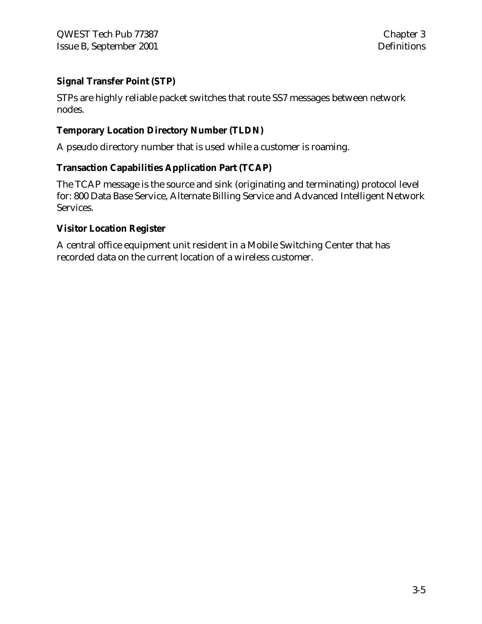#### **Signal Transfer Point (STP)**

STPs are highly reliable packet switches that route SS7 messages between network nodes.

#### **Temporary Location Directory Number (TLDN)**

A pseudo directory number that is used while a customer is roaming.

#### **Transaction Capabilities Application Part (TCAP)**

The TCAP message is the source and sink (originating and terminating) protocol level for: 800 Data Base Service, Alternate Billing Service and Advanced Intelligent Network Services.

#### **Visitor Location Register**

A central office equipment unit resident in a Mobile Switching Center that has recorded data on the current location of a wireless customer.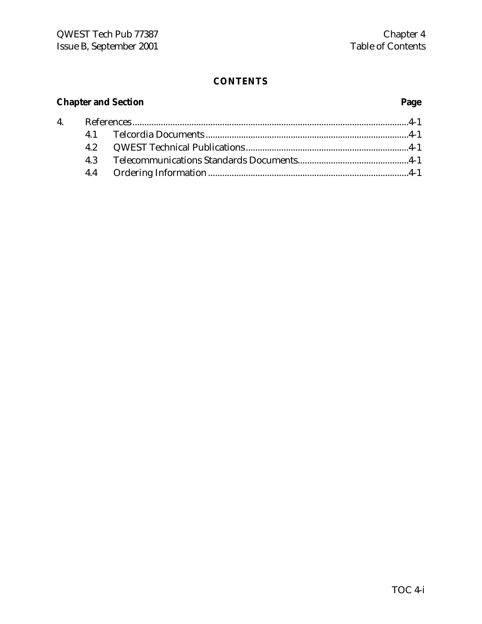### **Chapter and Section Page**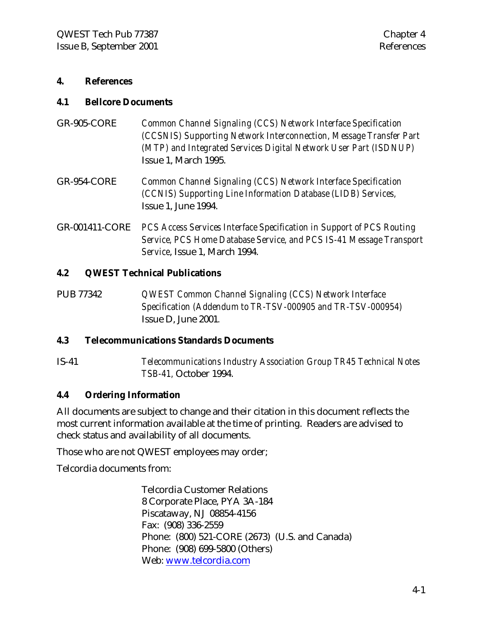#### **4. References**

#### **4.1 Bellcore Documents**

- GR-905-CORE *Common Channel Signaling (CCS) Network Interface Specification (CCSNIS) Supporting Network Interconnection, Message Transfer Part (MTP) and Integrated Services Digital Network User Part (ISDNUP)* Issue 1, March 1995.
- GR-954-CORE *Common Channel Signaling (CCS) Network Interface Specification (CCNIS) Supporting Line Information Database (LIDB) Services,* Issue 1, June 1994.
- GR-001411-CORE *PCS Access Services Interface Specification in Support of PCS Routing Service, PCS Home Database Service, and PCS IS-41 Message Transport Service*, Issue 1, March 1994.

#### **4.2 QWEST Technical Publications**

PUB 77342 *QWEST Common Channel Signaling (CCS) Network Interface Specification (Addendum to TR-TSV-000905 and TR-TSV-000954)* Issue D, June 2001*.*

#### **4.3 Telecommunications Standards Documents**

IS-41 *Telecommunications Industry Association Group TR45 Technical Notes TSB-41,* October 1994.

#### **4.4 Ordering Information**

All documents are subject to change and their citation in this document reflects the most current information available at the time of printing. Readers are advised to check status and availability of all documents.

Those who are not QWEST employees may order;

Telcordia documents from:

Telcordia Customer Relations 8 Corporate Place, PYA 3A-184 Piscataway, NJ 08854-4156 Fax: (908) 336-2559 Phone: (800) 521-CORE (2673) (U.S. and Canada) Phone: (908) 699-5800 (Others) Web: www.telcordia.com